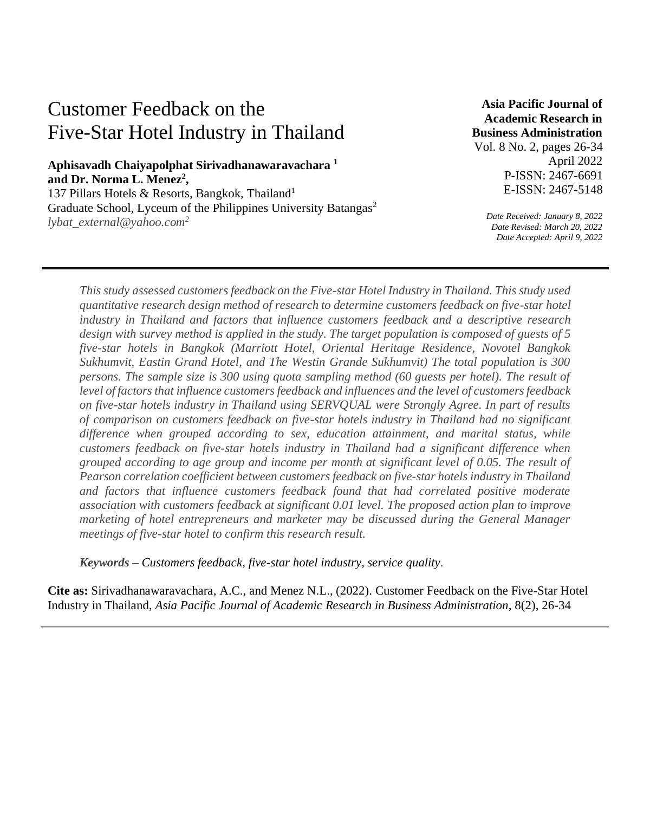# Customer Feedback on the Five-Star Hotel Industry in Thailand

# **Aphisavadh Chaiyapolphat Sirivadhanawaravachara <sup>1</sup> and Dr. Norma L. Menez<sup>2</sup> ,**

137 Pillars Hotels & Resorts, Bangkok, Thailand<sup>1</sup> Graduate School, Lyceum of the Philippines University Batangas<sup>2</sup> *lybat\_external@yahoo.com<sup>2</sup>*

**Asia Pacific Journal of Academic Research in Business Administration** 

Vol. 8 No. 2, pages 26-34 April 2022 P-ISSN: 2467-6691 E-ISSN: 2467-5148

*Date Received: January 8, 2022 Date Revised: March 20, 2022 Date Accepted: April 9, 2022*

*This study assessed customers feedback on the Five-star Hotel Industry in Thailand. This study used quantitative research design method of research to determine customers feedback on five-star hotel industry in Thailand and factors that influence customers feedback and a descriptive research design with survey method is applied in the study. The target population is composed of guests of 5 five-star hotels in Bangkok (Marriott Hotel, Oriental Heritage Residence, Novotel Bangkok Sukhumvit, Eastin Grand Hotel, and The Westin Grande Sukhumvit) The total population is 300 persons. The sample size is 300 using quota sampling method (60 guests per hotel). The result of level of factors that influence customers feedback and influences and the level of customers feedback on five-star hotels industry in Thailand using SERVQUAL were Strongly Agree. In part of results of comparison on customers feedback on five-star hotels industry in Thailand had no significant difference when grouped according to sex, education attainment, and marital status, while customers feedback on five-star hotels industry in Thailand had a significant difference when grouped according to age group and income per month at significant level of 0.05. The result of Pearson correlation coefficient between customers feedback on five-star hotels industry in Thailand and factors that influence customers feedback found that had correlated positive moderate association with customers feedback at significant 0.01 level. The proposed action plan to improve marketing of hotel entrepreneurs and marketer may be discussed during the General Manager meetings of five-star hotel to confirm this research result.* 

*Keywords – Customers feedback, five-star hotel industry, service quality.* 

**Cite as:** Sirivadhanawaravachara, A.C., and Menez N.L., (2022). Customer Feedback on the Five-Star Hotel Industry in Thailand, *Asia Pacific Journal of Academic Research in Business Administration,* 8(2), 26-34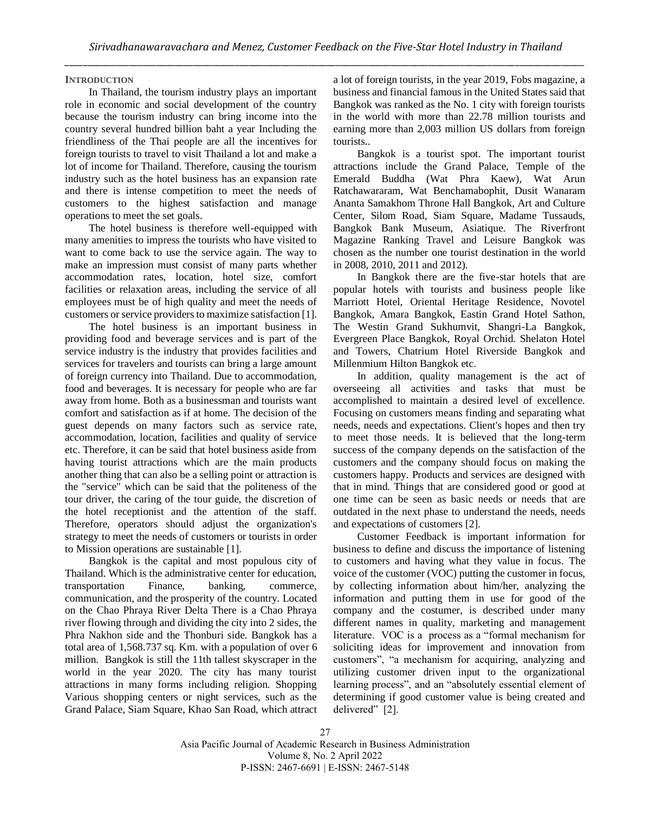# **INTRODUCTION**

In Thailand, the tourism industry plays an important role in economic and social development of the country because the tourism industry can bring income into the country several hundred billion baht a year Including the friendliness of the Thai people are all the incentives for foreign tourists to travel to visit Thailand a lot and make a lot of income for Thailand. Therefore, causing the tourism industry such as the hotel business has an expansion rate and there is intense competition to meet the needs of customers to the highest satisfaction and manage operations to meet the set goals.

The hotel business is therefore well-equipped with many amenities to impress the tourists who have visited to want to come back to use the service again. The way to make an impression must consist of many parts whether accommodation rates, location, hotel size, comfort facilities or relaxation areas, including the service of all employees must be of high quality and meet the needs of customers or service providers to maximize satisfaction [1].

The hotel business is an important business in providing food and beverage services and is part of the service industry is the industry that provides facilities and services for travelers and tourists can bring a large amount of foreign currency into Thailand. Due to accommodation, food and beverages. It is necessary for people who are far away from home. Both as a businessman and tourists want comfort and satisfaction as if at home. The decision of the guest depends on many factors such as service rate, accommodation, location, facilities and quality of service etc. Therefore, it can be said that hotel business aside from having tourist attractions which are the main products another thing that can also be a selling point or attraction is the "service" which can be said that the politeness of the tour driver, the caring of the tour guide, the discretion of the hotel receptionist and the attention of the staff. Therefore, operators should adjust the organization's strategy to meet the needs of customers or tourists in order to Mission operations are sustainable [1].

Bangkok is the capital and most populous city of Thailand. Which is the administrative center for education, transportation Finance, banking, commerce, communication, and the prosperity of the country. Located on the Chao Phraya River Delta There is a Chao Phraya river flowing through and dividing the city into 2 sides, the Phra Nakhon side and the Thonburi side. Bangkok has a total area of 1,568.737 sq. Km. with a population of over 6 million. Bangkok is still the 11th tallest skyscraper in the world in the year 2020. The city has many tourist attractions in many forms including religion. Shopping Various shopping centers or night services, such as the Grand Palace, Siam Square, Khao San Road, which attract

a lot of foreign tourists, in the year 2019, Fobs magazine, a business and financial famous in the United States said that Bangkok was ranked as the No. 1 city with foreign tourists in the world with more than 22.78 million tourists and earning more than 2,003 million US dollars from foreign tourists..

Bangkok is a tourist spot. The important tourist attractions include the Grand Palace, Temple of the Emerald Buddha (Wat Phra Kaew), Wat Arun Ratchawararam, Wat Benchamabophit, Dusit Wanaram Ananta Samakhom Throne Hall Bangkok, Art and Culture Center, Silom Road, Siam Square, Madame Tussauds, Bangkok Bank Museum, Asiatique. The Riverfront Magazine Ranking Travel and Leisure Bangkok was chosen as the number one tourist destination in the world in 2008, 2010, 2011 and 2012).

In Bangkok there are the five-star hotels that are popular hotels with tourists and business people like Marriott Hotel, Oriental Heritage Residence, Novotel Bangkok, Amara Bangkok, Eastin Grand Hotel Sathon, The Westin Grand Sukhumvit, Shangri-La Bangkok, Evergreen Place Bangkok, Royal Orchid. Shelaton Hotel and Towers, Chatrium Hotel Riverside Bangkok and Millenmium Hilton Bangkok etc.

In addition, quality management is the act of overseeing all activities and tasks that must be accomplished to maintain a desired level of excellence. Focusing on customers means finding and separating what needs, needs and expectations. Client's hopes and then try to meet those needs. It is believed that the long-term success of the company depends on the satisfaction of the customers and the company should focus on making the customers happy. Products and services are designed with that in mind. Things that are considered good or good at one time can be seen as basic needs or needs that are outdated in the next phase to understand the needs, needs and expectations of customers [2].

Customer Feedback is important information for business to define and discuss the importance of listening to customers and having what they value in focus. The voice of the customer (VOC) putting the customer in focus, by collecting information about him/her, analyzing the information and putting them in use for good of the company and the costumer, is described under many different names in quality, marketing and management literature. VOC is a process as a "formal mechanism for soliciting ideas for improvement and innovation from customers", "a mechanism for acquiring, analyzing and utilizing customer driven input to the organizational learning process", and an "absolutely essential element of determining if good customer value is being created and delivered" [2].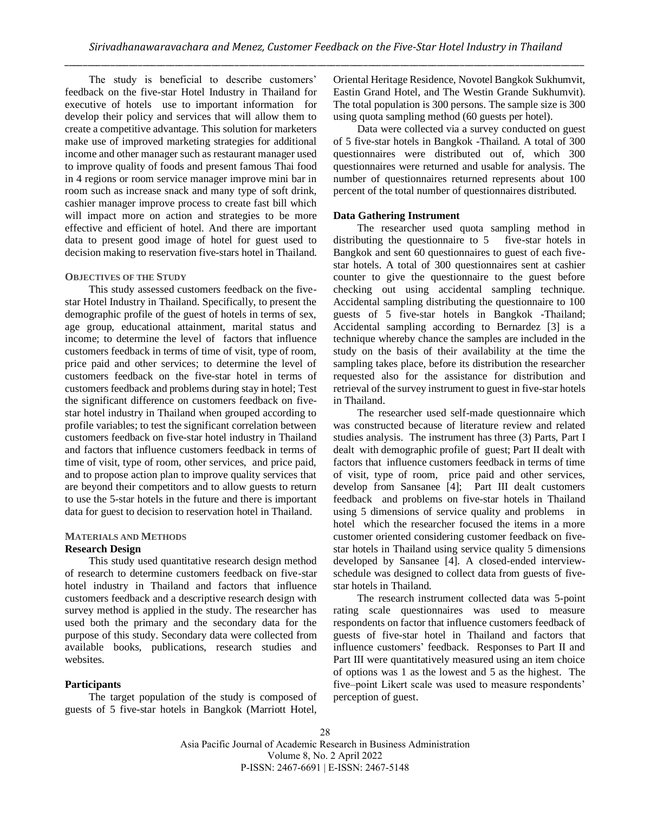The study is beneficial to describe customers' feedback on the five-star Hotel Industry in Thailand for executive of hotels use to important information for develop their policy and services that will allow them to create a competitive advantage. This solution for marketers make use of improved marketing strategies for additional income and other manager such as restaurant manager used to improve quality of foods and present famous Thai food in 4 regions or room service manager improve mini bar in room such as increase snack and many type of soft drink, cashier manager improve process to create fast bill which will impact more on action and strategies to be more effective and efficient of hotel. And there are important data to present good image of hotel for guest used to decision making to reservation five-stars hotel in Thailand.

#### **OBJECTIVES OF THE STUDY**

This study assessed customers feedback on the fivestar Hotel Industry in Thailand. Specifically, to present the demographic profile of the guest of hotels in terms of sex, age group, educational attainment, marital status and income; to determine the level of factors that influence customers feedback in terms of time of visit, type of room, price paid and other services; to determine the level of customers feedback on the five-star hotel in terms of customers feedback and problems during stay in hotel; Test the significant difference on customers feedback on fivestar hotel industry in Thailand when grouped according to profile variables; to test the significant correlation between customers feedback on five-star hotel industry in Thailand and factors that influence customers feedback in terms of time of visit, type of room, other services, and price paid, and to propose action plan to improve quality services that are beyond their competitors and to allow guests to return to use the 5-star hotels in the future and there is important data for guest to decision to reservation hotel in Thailand.

## **MATERIALS AND METHODS Research Design**

This study used quantitative research design method of research to determine customers feedback on five-star hotel industry in Thailand and factors that influence customers feedback and a descriptive research design with survey method is applied in the study. The researcher has used both the primary and the secondary data for the purpose of this study. Secondary data were collected from available books, publications, research studies and websites.

# **Participants**

The target population of the study is composed of guests of 5 five-star hotels in Bangkok (Marriott Hotel,

Oriental Heritage Residence, Novotel Bangkok Sukhumvit, Eastin Grand Hotel, and The Westin Grande Sukhumvit). The total population is 300 persons. The sample size is 300 using quota sampling method (60 guests per hotel).

Data were collected via a survey conducted on guest of 5 five-star hotels in Bangkok -Thailand. A total of 300 questionnaires were distributed out of, which 300 questionnaires were returned and usable for analysis. The number of questionnaires returned represents about 100 percent of the total number of questionnaires distributed.

#### **Data Gathering Instrument**

The researcher used quota sampling method in distributing the questionnaire to 5 five-star hotels in Bangkok and sent 60 questionnaires to guest of each fivestar hotels. A total of 300 questionnaires sent at cashier counter to give the questionnaire to the guest before checking out using accidental sampling technique. Accidental sampling distributing the questionnaire to 100 guests of 5 five-star hotels in Bangkok -Thailand; Accidental sampling according to Bernardez [3] is a technique whereby chance the samples are included in the study on the basis of their availability at the time the sampling takes place, before its distribution the researcher requested also for the assistance for distribution and retrieval of the survey instrument to guest in five-star hotels in Thailand.

The researcher used self-made questionnaire which was constructed because of literature review and related studies analysis. The instrument has three (3) Parts, Part I dealt with demographic profile of guest; Part II dealt with factors that influence customers feedback in terms of time of visit, type of room, price paid and other services, develop from Sansanee [4]; Part III dealt customers feedback and problems on five-star hotels in Thailand using 5 dimensions of service quality and problems in hotel which the researcher focused the items in a more customer oriented considering customer feedback on fivestar hotels in Thailand using service quality 5 dimensions developed by Sansanee [4]. A closed-ended interviewschedule was designed to collect data from guests of fivestar hotels in Thailand.

The research instrument collected data was 5-point rating scale questionnaires was used to measure respondents on factor that influence customers feedback of guests of five-star hotel in Thailand and factors that influence customers' feedback. Responses to Part II and Part III were quantitatively measured using an item choice of options was 1 as the lowest and 5 as the highest. The five–point Likert scale was used to measure respondents' perception of guest.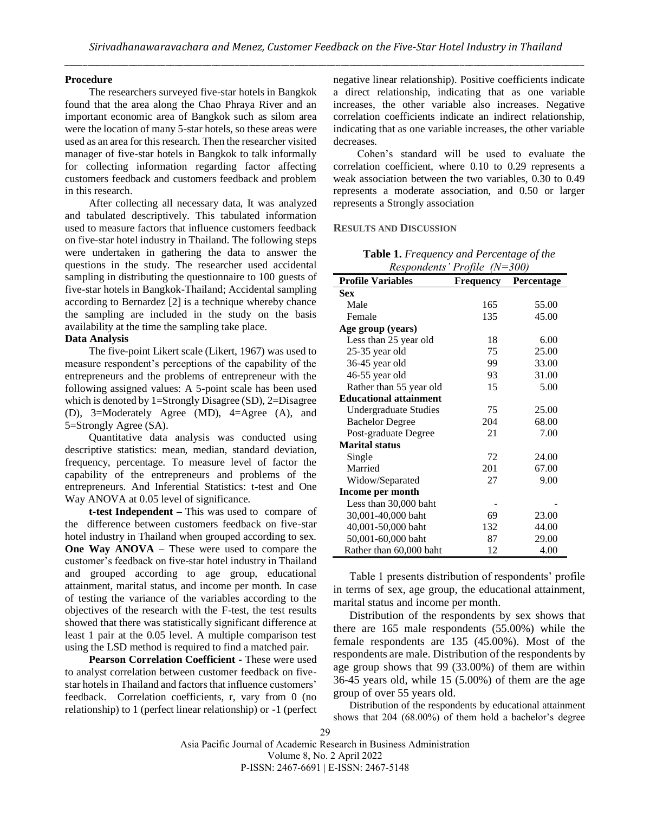# **Procedure**

The researchers surveyed five-star hotels in Bangkok found that the area along the Chao Phraya River and an important economic area of Bangkok such as silom area were the location of many 5-star hotels, so these areas were used as an area for this research. Then the researcher visited manager of five-star hotels in Bangkok to talk informally for collecting information regarding factor affecting customers feedback and customers feedback and problem in this research.

After collecting all necessary data, It was analyzed and tabulated descriptively. This tabulated information used to measure factors that influence customers feedback on five-star hotel industry in Thailand. The following steps were undertaken in gathering the data to answer the questions in the study. The researcher used accidental sampling in distributing the questionnaire to 100 guests of five-star hotels in Bangkok-Thailand; Accidental sampling according to Bernardez [2] is a technique whereby chance the sampling are included in the study on the basis availability at the time the sampling take place.

# **Data Analysis**

The five-point Likert scale (Likert, 1967) was used to measure respondent's perceptions of the capability of the entrepreneurs and the problems of entrepreneur with the following assigned values: A 5-point scale has been used which is denoted by 1=Strongly Disagree (SD), 2=Disagree (D), 3=Moderately Agree (MD), 4=Agree (A), and 5=Strongly Agree (SA).

Quantitative data analysis was conducted using descriptive statistics: mean, median, standard deviation, frequency, percentage. To measure level of factor the capability of the entrepreneurs and problems of the entrepreneurs. And Inferential Statistics: t-test and One Way ANOVA at 0.05 level of significance.

**t-test Independent –** This was used to compare of the difference between customers feedback on five-star hotel industry in Thailand when grouped according to sex. **One Way ANOVA –** These were used to compare the customer's feedback on five-star hotel industry in Thailand and grouped according to age group, educational attainment, marital status, and income per month. In case of testing the variance of the variables according to the objectives of the research with the F-test, the test results showed that there was statistically significant difference at least 1 pair at the 0.05 level. A multiple comparison test using the LSD method is required to find a matched pair.

**Pearson Correlation Coefficient -** These were used to analyst correlation between customer feedback on fivestar hotels in Thailand and factors that influence customers' feedback. Correlation coefficients, r, vary from 0 (no relationship) to 1 (perfect linear relationship) or -1 (perfect

negative linear relationship). Positive coefficients indicate a direct relationship, indicating that as one variable increases, the other variable also increases. Negative correlation coefficients indicate an indirect relationship, indicating that as one variable increases, the other variable decreases.

Cohen's standard will be used to evaluate the correlation coefficient, where 0.10 to 0.29 represents a weak association between the two variables, 0.30 to 0.49 represents a moderate association, and 0.50 or larger represents a Strongly association

#### **RESULTS AND DISCUSSION**

**Table 1.** *Frequency and Percentage of the* 

| Respondents' Profile (N=300)  |           |            |  |  |  |
|-------------------------------|-----------|------------|--|--|--|
| <b>Profile Variables</b>      | Frequency | Percentage |  |  |  |
| Sex                           |           |            |  |  |  |
| Male                          | 165       | 55.00      |  |  |  |
| Female                        | 135       | 45.00      |  |  |  |
| Age group (years)             |           |            |  |  |  |
| Less than 25 year old         | 18        | 6.00       |  |  |  |
| $25-35$ year old              | 75        | 25.00      |  |  |  |
| 36-45 year old                | 99        | 33.00      |  |  |  |
| 46-55 year old                | 93        | 31.00      |  |  |  |
| Rather than 55 year old       | 15        | 5.00       |  |  |  |
| <b>Educational attainment</b> |           |            |  |  |  |
| Undergraduate Studies         | 75        | 25.00      |  |  |  |
| <b>Bachelor Degree</b>        | 204       | 68.00      |  |  |  |
| Post-graduate Degree          | 21        | 7.00       |  |  |  |
| <b>Marital status</b>         |           |            |  |  |  |
| Single                        | 72        | 24.00      |  |  |  |
| Married                       | 201       | 67.00      |  |  |  |
| Widow/Separated               | 27        | 9.00       |  |  |  |
| Income per month              |           |            |  |  |  |
| Less than 30,000 baht         |           |            |  |  |  |
| 30,001-40,000 baht            | 69        | 23.00      |  |  |  |
| 40,001-50,000 baht            | 132       | 44.00      |  |  |  |
| 50,001-60,000 baht            | 87        | 29.00      |  |  |  |
| Rather than 60,000 baht       | 12        | 4.00       |  |  |  |

Table 1 presents distribution of respondents' profile in terms of sex, age group, the educational attainment, marital status and income per month.

Distribution of the respondents by sex shows that there are 165 male respondents (55.00%) while the female respondents are 135 (45.00%). Most of the respondents are male. Distribution of the respondents by age group shows that 99 (33.00%) of them are within 36-45 years old, while 15 (5.00%) of them are the age group of over 55 years old.

Distribution of the respondents by educational attainment shows that 204 (68.00%) of them hold a bachelor's degree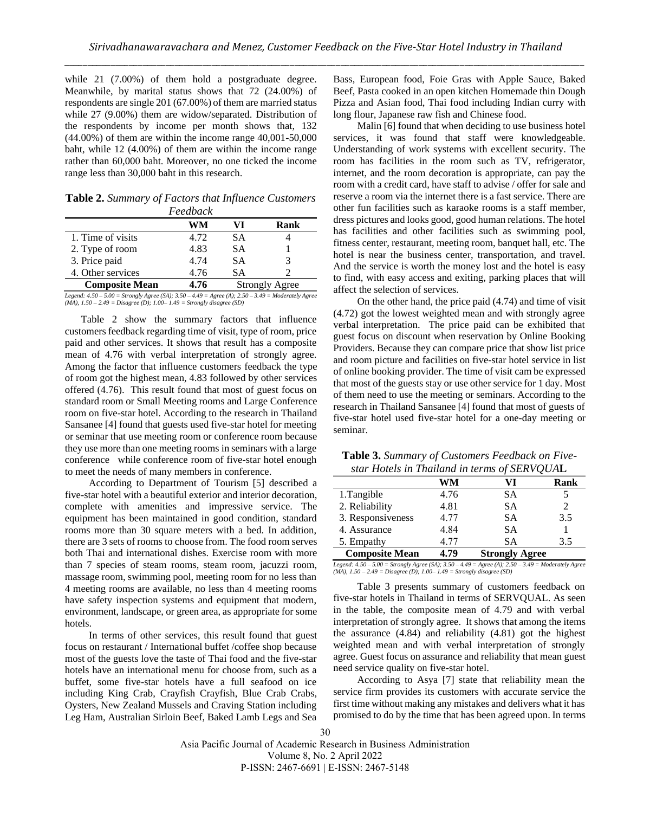while 21 (7.00%) of them hold a postgraduate degree. Meanwhile, by marital status shows that 72 (24.00%) of respondents are single 201 (67.00%) of them are married status while 27 (9.00%) them are widow/separated. Distribution of the respondents by income per month shows that, 132 (44.00%) of them are within the income range 40,001-50,000 baht, while 12 (4.00%) of them are within the income range rather than 60,000 baht. Moreover, no one ticked the income range less than 30,000 baht in this research.

**Table 2.** *Summary of Factors that Influence Customers Feedback*

|                       | r ceuvucn |    |                       |
|-----------------------|-----------|----|-----------------------|
|                       | WM        | VI | Rank                  |
| 1. Time of visits     | 4.72      | SА |                       |
| 2. Type of room       | 4.83      | SА |                       |
| 3. Price paid         | 4.74      | SА |                       |
| 4. Other services     | 4.76      | SА |                       |
| <b>Composite Mean</b> | 4.76      |    | <b>Strongly Agree</b> |

*Legend: 4.50 – 5.00 = Strongly Agree (SA); 3.50 – 4.49 = Agree (A); 2.50 – 3.49 = Moderately Agree (MA), 1.50 – 2.49 = Disagree (D); 1.00– 1.49 = Strongly disagree (SD)*

Table 2 show the summary factors that influence customers feedback regarding time of visit, type of room, price paid and other services. It shows that result has a composite mean of 4.76 with verbal interpretation of strongly agree. Among the factor that influence customers feedback the type of room got the highest mean, 4.83 followed by other services offered (4.76). This result found that most of guest focus on standard room or Small Meeting rooms and Large Conference room on five-star hotel. According to the research in Thailand Sansanee [4] found that guests used five-star hotel for meeting or seminar that use meeting room or conference room because they use more than one meeting rooms in seminars with a large conference while conference room of five-star hotel enough to meet the needs of many members in conference.

According to Department of Tourism [5] described a five-star hotel with a beautiful exterior and interior decoration, complete with amenities and impressive service. The equipment has been maintained in good condition, standard rooms more than 30 square meters with a bed. In addition, there are 3 sets of rooms to choose from. The food room serves both Thai and international dishes. Exercise room with more than 7 species of steam rooms, steam room, jacuzzi room, massage room, swimming pool, meeting room for no less than 4 meeting rooms are available, no less than 4 meeting rooms have safety inspection systems and equipment that modern, environment, landscape, or green area, as appropriate for some hotels.

In terms of other services, this result found that guest focus on restaurant / International buffet /coffee shop because most of the guests love the taste of Thai food and the five-star hotels have an international menu for choose from, such as a buffet, some five-star hotels have a full seafood on ice including King Crab, Crayfish Crayfish, Blue Crab Crabs, Oysters, New Zealand Mussels and Craving Station including Leg Ham, Australian Sirloin Beef, Baked Lamb Legs and Sea

Bass, European food, Foie Gras with Apple Sauce, Baked Beef, Pasta cooked in an open kitchen Homemade thin Dough Pizza and Asian food, Thai food including Indian curry with long flour, Japanese raw fish and Chinese food.

Malin [6] found that when deciding to use business hotel services, it was found that staff were knowledgeable. Understanding of work systems with excellent security. The room has facilities in the room such as TV, refrigerator, internet, and the room decoration is appropriate, can pay the room with a credit card, have staff to advise / offer for sale and reserve a room via the internet there is a fast service. There are other fun facilities such as karaoke rooms is a staff member, dress pictures and looks good, good human relations. The hotel has facilities and other facilities such as swimming pool, fitness center, restaurant, meeting room, banquet hall, etc. The hotel is near the business center, transportation, and travel. And the service is worth the money lost and the hotel is easy to find, with easy access and exiting, parking places that will affect the selection of services.

On the other hand, the price paid (4.74) and time of visit (4.72) got the lowest weighted mean and with strongly agree verbal interpretation. The price paid can be exhibited that guest focus on discount when reservation by Online Booking Providers. Because they can compare price that show list price and room picture and facilities on five-star hotel service in list of online booking provider. The time of visit cam be expressed that most of the guests stay or use other service for 1 day. Most of them need to use the meeting or seminars. According to the research in Thailand Sansanee [4] found that most of guests of five-star hotel used five-star hotel for a one-day meeting or seminar.

**Table 3.** *Summary of Customers Feedback on Fivestar Hotels in Thailand in terms of SERVQUA***L**

|                       | WМ   | VI                    | Rank |  |
|-----------------------|------|-----------------------|------|--|
| 1. Tangible           | 4.76 | SА                    |      |  |
| 2. Reliability        | 4.81 | SА                    | 2    |  |
| 3. Responsiveness     | 4.77 | SА                    | 3.5  |  |
| 4. Assurance          | 4.84 | SА                    |      |  |
| 5. Empathy            | 4.77 | SА                    | 3.5  |  |
| <b>Composite Mean</b> | 4.79 | <b>Strongly Agree</b> |      |  |

*Legend: 4.50 – 5.00 = Strongly Agree (SA); 3.50 – 4.49 = Agree (A); 2.50 – 3.49 = Moderately Agree (MA), 1.50 – 2.49 = Disagree (D); 1.00– 1.49 = Strongly disagree (SD)*

Table 3 presents summary of customers feedback on five-star hotels in Thailand in terms of SERVQUAL. As seen in the table, the composite mean of 4.79 and with verbal interpretation of strongly agree. It shows that among the items the assurance (4.84) and reliability (4.81) got the highest weighted mean and with verbal interpretation of strongly agree. Guest focus on assurance and reliability that mean guest need service quality on five-star hotel.

According to Asya [7] state that reliability mean the service firm provides its customers with accurate service the first time without making any mistakes and delivers what it has promised to do by the time that has been agreed upon. In terms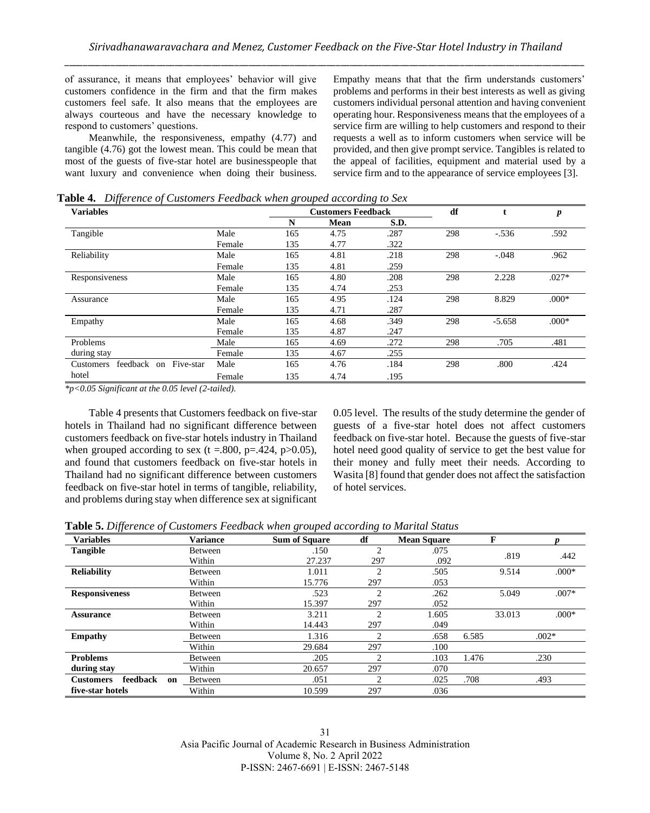of assurance, it means that employees' behavior will give customers confidence in the firm and that the firm makes customers feel safe. It also means that the employees are always courteous and have the necessary knowledge to respond to customers' questions.

Meanwhile, the responsiveness, empathy (4.77) and tangible (4.76) got the lowest mean. This could be mean that most of the guests of five-star hotel are businesspeople that want luxury and convenience when doing their business.

Empathy means that that the firm understands customers' problems and performs in their best interests as well as giving customers individual personal attention and having convenient operating hour. Responsiveness means that the employees of a service firm are willing to help customers and respond to their requests a well as to inform customers when service will be provided, and then give prompt service. Tangibles is related to the appeal of facilities, equipment and material used by a service firm and to the appearance of service employees [3].

**Table 4.** *Difference of Customers Feedback when grouped according to Sex*

| $\cdot$<br><b>Variables</b>                     |        |     | <b>Customers Feedback</b> | $\check{ }$ | df  |          | p       |
|-------------------------------------------------|--------|-----|---------------------------|-------------|-----|----------|---------|
|                                                 |        | N   | Mean                      | S.D.        |     |          |         |
| Tangible                                        | Male   | 165 | 4.75                      | .287        | 298 | $-.536$  | .592    |
|                                                 | Female | 135 | 4.77                      | .322        |     |          |         |
| Reliability                                     | Male   | 165 | 4.81                      | .218        | 298 | $-.048$  | .962    |
|                                                 | Female | 135 | 4.81                      | .259        |     |          |         |
| Responsiveness                                  | Male   | 165 | 4.80                      | .208        | 298 | 2.228    | $.027*$ |
|                                                 | Female | 135 | 4.74                      | .253        |     |          |         |
| Assurance                                       | Male   | 165 | 4.95                      | .124        | 298 | 8.829    | $.000*$ |
|                                                 | Female | 135 | 4.71                      | .287        |     |          |         |
| Empathy                                         | Male   | 165 | 4.68                      | .349        | 298 | $-5.658$ | $.000*$ |
|                                                 | Female | 135 | 4.87                      | .247        |     |          |         |
| Problems                                        | Male   | 165 | 4.69                      | .272        | 298 | .705     | .481    |
| during stay                                     | Female | 135 | 4.67                      | .255        |     |          |         |
| Five-star<br>feedback<br><b>Customers</b><br>on | Male   | 165 | 4.76                      | .184        | 298 | .800     | .424    |
| hotel                                           | Female | 135 | 4.74                      | .195        |     |          |         |

*\*p<0.05 Significant at the 0.05 level (2-tailed).*

Table 4 presents that Customers feedback on five-star hotels in Thailand had no significant difference between customers feedback on five-star hotels industry in Thailand when grouped according to sex (t =.800, p=.424, p $>0.05$ ), and found that customers feedback on five-star hotels in Thailand had no significant difference between customers feedback on five-star hotel in terms of tangible, reliability, and problems during stay when difference sex at significant 0.05 level. The results of the study determine the gender of guests of a five-star hotel does not affect customers feedback on five-star hotel. Because the guests of five-star hotel need good quality of service to get the best value for their money and fully meet their needs. According to Wasita [8] found that gender does not affect the satisfaction of hotel services.

**Table 5.** *Difference of Customers Feedback when grouped according to Marital Status*

| <b>Variables</b>                   | <b>Variance</b> | <b>Sum of Square</b> | df             | <b>Mean Square</b> | F      |         |
|------------------------------------|-----------------|----------------------|----------------|--------------------|--------|---------|
| Tangible                           | Between         | .150                 | $\overline{c}$ | .075               | .819   | .442    |
|                                    | Within          | 27.237               | 297            | .092               |        |         |
| <b>Reliability</b>                 | <b>Between</b>  | 1.011                | $\overline{c}$ | .505               | 9.514  | $.000*$ |
|                                    | Within          | 15.776               | 297            | .053               |        |         |
| <b>Responsiveness</b>              | Between         | .523                 | $\overline{c}$ | .262               | 5.049  | $.007*$ |
|                                    | Within          | 15.397               | 297            | .052               |        |         |
| <b>Assurance</b>                   | Between         | 3.211                | $\overline{c}$ | 1.605              | 33.013 | $.000*$ |
|                                    | Within          | 14.443               | 297            | .049               |        |         |
| <b>Empathy</b>                     | Between         | 1.316                | $\overline{c}$ | .658               | 6.585  | $.002*$ |
|                                    | Within          | 29.684               | 297            | .100               |        |         |
| <b>Problems</b>                    | Between         | .205                 | $\overline{c}$ | .103               | 1.476  | .230    |
| during stay                        | Within          | 20.657               | 297            | .070               |        |         |
| feedback<br><b>Customers</b><br>on | Between         | .051                 | $\overline{c}$ | .025               | .708   | .493    |
| five-star hotels                   | Within          | 10.599               | 297            | .036               |        |         |

31 Asia Pacific Journal of Academic Research in Business Administration Volume 8, No. 2 April 2022 P-ISSN: 2467-6691 | E-ISSN: 2467-5148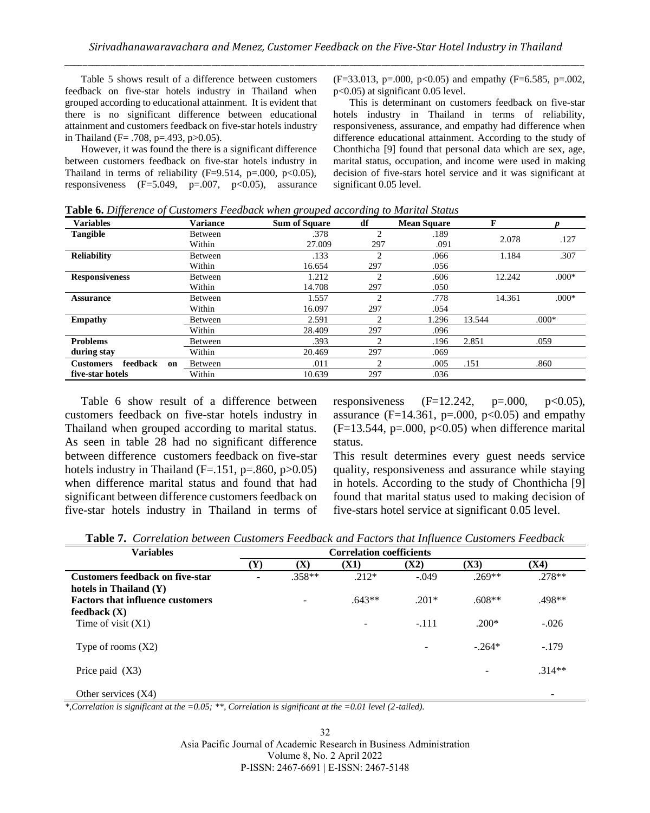Table 5 shows result of a difference between customers feedback on five-star hotels industry in Thailand when grouped according to educational attainment. It is evident that there is no significant difference between educational attainment and customers feedback on five-star hotels industry in Thailand (F= .708, p=.493, p>0.05).

However, it was found the there is a significant difference between customers feedback on five-star hotels industry in Thailand in terms of reliability  $(F=9.514, p=.000, p<0.05)$ , responsiveness  $(F=5.049, p=.007, p<0.05)$ , assurance

(F=33.013, p=.000, p<0.05) and empathy (F=6.585, p=.002, p<0.05) at significant 0.05 level.

This is determinant on customers feedback on five-star hotels industry in Thailand in terms of reliability, responsiveness, assurance, and empathy had difference when difference educational attainment. According to the study of Chonthicha [9] found that personal data which are sex, age, marital status, occupation, and income were used in making decision of five-stars hotel service and it was significant at significant 0.05 level.

| $\cdot$<br>$\cdot$<br><b>Variables</b> | <b>Variance</b> | $\checkmark$<br><b>Sum of Square</b> | $\tilde{ }$<br>df           | <b>Mean Square</b> | F      |         |
|----------------------------------------|-----------------|--------------------------------------|-----------------------------|--------------------|--------|---------|
| <b>Tangible</b>                        | Between         | .378                                 | $\mathfrak{D}$              | .189               |        |         |
|                                        | Within          | 27.009                               | 297                         | .091               | 2.078  | .127    |
| <b>Reliability</b>                     | Between         | .133                                 | $\mathcal{D}_{\mathcal{L}}$ | .066               | 1.184  | .307    |
|                                        | Within          | 16.654                               | 297                         | .056               |        |         |
| <b>Responsiveness</b>                  | Between         | 1.212                                | $\mathcal{D}_{\mathcal{L}}$ | .606               | 12.242 | $.000*$ |
|                                        | Within          | 14.708                               | 297                         | .050               |        |         |
| <b>Assurance</b>                       | Between         | 1.557                                | $\overline{c}$              | .778               | 14.361 | $.000*$ |
|                                        | Within          | 16.097                               | 297                         | .054               |        |         |
| <b>Empathy</b>                         | Between         | 2.591                                | $\mathcal{D}$               | 1.296              | 13.544 | $.000*$ |
|                                        | Within          | 28.409                               | 297                         | .096               |        |         |
| <b>Problems</b>                        | Between         | .393                                 | $\mathcal{D}$               | .196               | 2.851  | .059    |
| during stay                            | Within          | 20.469                               | 297                         | .069               |        |         |
| feedback<br><b>Customers</b><br>on     | Between         | .011                                 | $\overline{c}$              | .005               | .151   | .860    |
| five-star hotels                       | Within          | 10.639                               | 297                         | .036               |        |         |

**Table 6.** *Difference of Customers Feedback when grouped according to Marital Status*

Table 6 show result of a difference between customers feedback on five-star hotels industry in Thailand when grouped according to marital status. As seen in table 28 had no significant difference between difference customers feedback on five-star hotels industry in Thailand  $(F=.151, p=.860, p>0.05)$ when difference marital status and found that had significant between difference customers feedback on five-star hotels industry in Thailand in terms of responsiveness  $(F=12.242, p=.000, p<0.05)$ , assurance (F=14.361, p=.000, p<0.05) and empathy  $(F=13.544, p=.000, p<0.05)$  when difference marital status.

This result determines every guest needs service quality, responsiveness and assurance while staying in hotels. According to the study of Chonthicha [9] found that marital status used to making decision of five-stars hotel service at significant 0.05 level.

|  | <b>Table 7.</b> Correlation between Customers Feedback and Factors that Influence Customers Feedback |  |  |  |  |  |  |  |  |
|--|------------------------------------------------------------------------------------------------------|--|--|--|--|--|--|--|--|
|--|------------------------------------------------------------------------------------------------------|--|--|--|--|--|--|--|--|

| <b>Variables</b>                        | <b>Correlation coefficients</b> |                |             |         |          |          |  |
|-----------------------------------------|---------------------------------|----------------|-------------|---------|----------|----------|--|
|                                         | (Y)                             | $(\mathbf{X})$ | <b>(X1)</b> | (X2)    | (X3)     | (X4)     |  |
| <b>Customers feedback on five-star</b>  |                                 | $.358**$       | $.212*$     | $-.049$ | $.269**$ | $.278**$ |  |
| hotels in Thailand $(Y)$                |                                 |                |             |         |          |          |  |
| <b>Factors that influence customers</b> |                                 | $\overline{a}$ | $.643**$    | $.201*$ | $.608**$ | .498**   |  |
| feedback $(X)$                          |                                 |                |             |         |          |          |  |
| Time of visit $(X1)$                    |                                 |                |             | $-.111$ | $.200*$  | $-.026$  |  |
| Type of rooms $(X2)$                    |                                 |                |             | -       | $-.264*$ | $-.179$  |  |
| Price paid $(X3)$                       |                                 |                |             |         |          | $.314**$ |  |
| Other services $(X4)$                   |                                 |                |             |         |          |          |  |

*\*,Correlation is significant at the =0.05; \*\*, Correlation is significant at the =0.01 level (2-tailed).*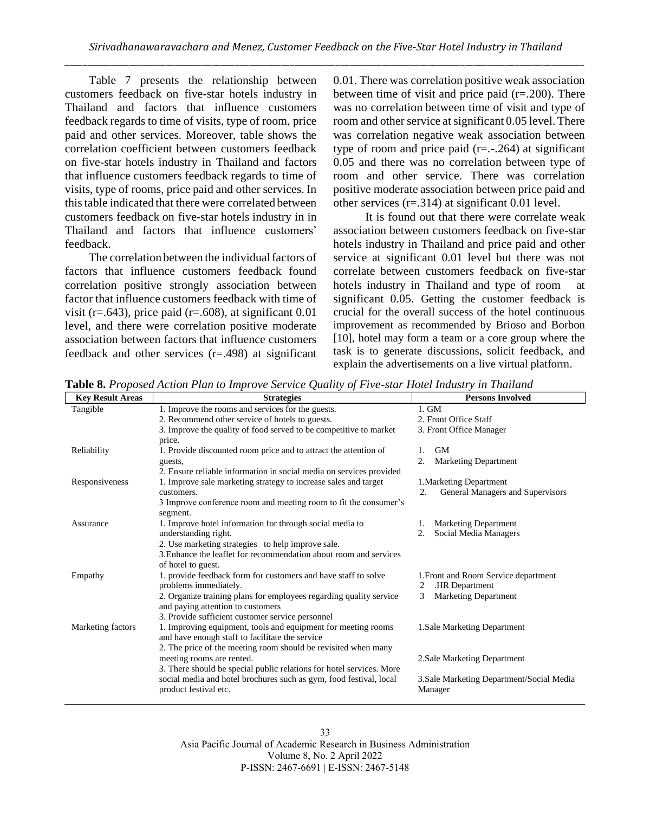Table 7 presents the relationship between customers feedback on five-star hotels industry in Thailand and factors that influence customers feedback regards to time of visits, type of room, price paid and other services. Moreover, table shows the correlation coefficient between customers feedback on five-star hotels industry in Thailand and factors that influence customers feedback regards to time of visits, type of rooms, price paid and other services. In this table indicated that there were correlated between customers feedback on five-star hotels industry in in Thailand and factors that influence customers' feedback.

The correlation between the individual factors of factors that influence customers feedback found correlation positive strongly association between factor that influence customers feedback with time of visit (r=.643), price paid (r=.608), at significant  $0.01$ level, and there were correlation positive moderate association between factors that influence customers feedback and other services (r=.498) at significant

0.01. There was correlation positive weak association between time of visit and price paid  $(r=.200)$ . There was no correlation between time of visit and type of room and other service at significant 0.05 level. There was correlation negative weak association between type of room and price paid  $(r=-.264)$  at significant 0.05 and there was no correlation between type of room and other service. There was correlation positive moderate association between price paid and other services (r=.314) at significant 0.01 level.

It is found out that there were correlate weak association between customers feedback on five-star hotels industry in Thailand and price paid and other service at significant 0.01 level but there was not correlate between customers feedback on five-star hotels industry in Thailand and type of room at significant 0.05. Getting the customer feedback is crucial for the overall success of the hotel continuous improvement as recommended by Brioso and Borbon [10], hotel may form a team or a core group where the task is to generate discussions, solicit feedback, and explain the advertisements on a live virtual platform.

| <b>Key Result Areas</b> | <b>Strategies</b>                                                                                                | <b>Persons Involved</b>                   |
|-------------------------|------------------------------------------------------------------------------------------------------------------|-------------------------------------------|
| Tangible                | 1. Improve the rooms and services for the guests.                                                                | $1.$ GM                                   |
|                         | 2. Recommend other service of hotels to guests.                                                                  | 2. Front Office Staff                     |
|                         | 3. Improve the quality of food served to be competitive to market                                                | 3. Front Office Manager                   |
|                         | price.                                                                                                           |                                           |
| Reliability             | 1. Provide discounted room price and to attract the attention of                                                 | <b>GM</b><br>1.                           |
|                         | guests,                                                                                                          | <b>Marketing Department</b><br>2.         |
|                         | 2. Ensure reliable information in social media on services provided                                              |                                           |
| Responsiveness          | 1. Improve sale marketing strategy to increase sales and target                                                  | 1. Marketing Department                   |
|                         | customers.                                                                                                       | General Managers and Supervisors<br>2.    |
|                         | 3 Improve conference room and meeting room to fit the consumer's                                                 |                                           |
|                         | segment.                                                                                                         |                                           |
| Assurance               | 1. Improve hotel information for through social media to                                                         | 1. Marketing Department                   |
|                         | understanding right.                                                                                             | Social Media Managers<br>2.               |
|                         | 2. Use marketing strategies to help improve sale.                                                                |                                           |
|                         | 3. Enhance the leaflet for recommendation about room and services                                                |                                           |
|                         | of hotel to guest.                                                                                               |                                           |
| Empathy                 | 1. provide feedback form for customers and have staff to solve                                                   | 1. Front and Room Service department      |
|                         | problems immediately.                                                                                            | .HR Department<br>2                       |
|                         | 2. Organize training plans for employees regarding quality service                                               | <b>Marketing Department</b><br>3          |
|                         | and paying attention to customers                                                                                |                                           |
|                         | 3. Provide sufficient customer service personnel                                                                 |                                           |
| Marketing factors       | 1. Improving equipment, tools and equipment for meeting rooms<br>and have enough staff to facilitate the service | 1.Sale Marketing Department               |
|                         | 2. The price of the meeting room should be revisited when many                                                   |                                           |
|                         | meeting rooms are rented.                                                                                        | 2. Sale Marketing Department              |
|                         | 3. There should be special public relations for hotel services. More                                             |                                           |
|                         | social media and hotel brochures such as gym, food festival, local                                               | 3. Sale Marketing Department/Social Media |
|                         | product festival etc.                                                                                            | Manager                                   |
|                         |                                                                                                                  |                                           |

**Table 8.** *Proposed Action Plan to Improve Service Quality of Five-star Hotel Industry in Thailand*